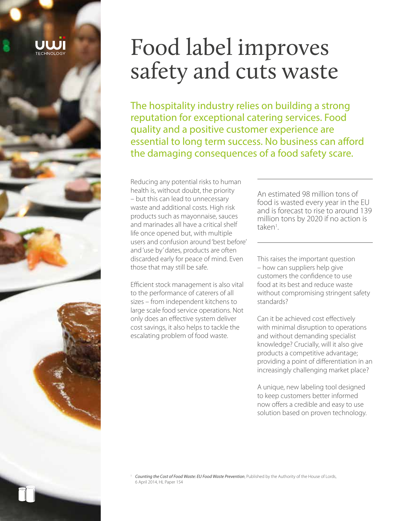# Food label improves safety and cuts waste

The hospitality industry relies on building a strong reputation for exceptional catering services. Food quality and a positive customer experience are essential to long term success. No business can afford the damaging consequences of a food safety scare.

Reducing any potential risks to human health is, without doubt, the priority – but this can lead to unnecessary waste and additional costs. High risk products such as mayonnaise, sauces and marinades all have a critical shelf life once opened but, with multiple users and confusion around 'best before' and 'use by' dates, products are often discarded early for peace of mind. Even those that may still be safe.

Efficient stock management is also vital to the performance of caterers of all sizes – from independent kitchens to large scale food service operations. Not only does an effective system deliver cost savings, it also helps to tackle the escalating problem of food waste.

An estimated 98 million tons of food is wasted every year in the EU and is forecast to rise to around 139 million tons by 2020 if no action is taken<sup>1</sup>. .

This raises the important question – how can suppliers help give customers the confidence to use food at its best and reduce waste without compromising stringent safety standards?

Can it be achieved cost effectively with minimal disruption to operations and without demanding specialist knowledge? Crucially, will it also give products a competitive advantage; providing a point of differentiation in an increasingly challenging market place?

A unique, new labeling tool designed to keep customers better informed now offers a credible and easy to use solution based on proven technology.